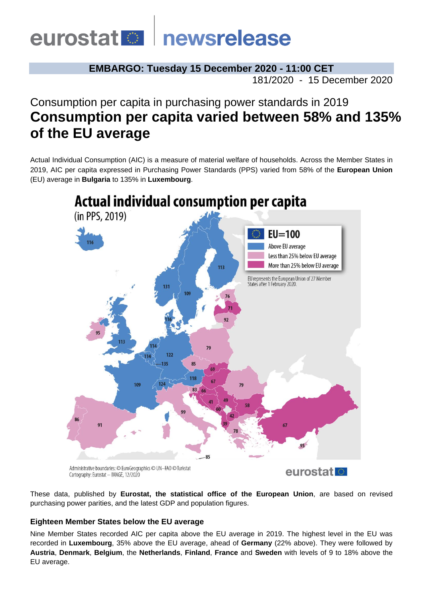# eurostat **De** newsrelease

**EMBARGO: Tuesday 15 December 2020 - 11:00 CET**

181/2020 - 15 December 2020

# Consumption per capita in purchasing power standards in 2019 **Consumption per capita varied between 58% and 135% of the EU average**

Actual Individual Consumption (AIC) is a measure of material welfare of households. Across the Member States in 2019, AIC per capita expressed in Purchasing Power Standards (PPS) varied from 58% of the **European Union**  (EU) average in **Bulgaria** to 135% in **Luxembourg**.



Administrative boundaries: © EuroGeographics © UN-FAO © Turkstat Cartography: Eurostat - IMAGE, 12/2020

eurostat **M** 

These data, published by **Eurostat, the statistical office of the European Union**, are based on revised purchasing power parities, and the latest GDP and population figures.

### **Eighteen Member States below the EU average**

Nine Member States recorded AIC per capita above the EU average in 2019. The highest level in the EU was recorded in **Luxembourg**, 35% above the EU average, ahead of **Germany** (22% above). They were followed by **Austria**, **Denmark**, **Belgium**, the **Netherlands**, **Finland**, **France** and **Sweden** with levels of 9 to 18% above the EU average.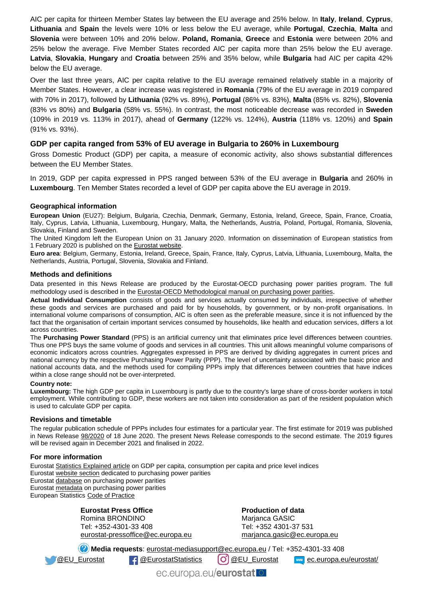AIC per capita for thirteen Member States lay between the EU average and 25% below. In **Italy**, **Ireland**, **Cyprus**, **Lithuania** and **Spain** the levels were 10% or less below the EU average, while **Portugal**, **Czechia**, **Malta** and **Slovenia** were between 10% and 20% below. **Poland, Romania**, **Greece** and **Estonia** were between 20% and 25% below the average. Five Member States recorded AIC per capita more than 25% below the EU average. **Latvia**, **Slovakia**, **Hungary** and **Croatia** between 25% and 35% below, while **Bulgaria** had AIC per capita 42% below the EU average.

Over the last three years, AIC per capita relative to the EU average remained relatively stable in a majority of Member States. However, a clear increase was registered in **Romania** (79% of the EU average in 2019 compared with 70% in 2017), followed by **Lithuania** (92% vs. 89%), **Portugal** (86% vs. 83%), **Malta** (85% vs. 82%), **Slovenia** (83% vs 80%) and **Bulgaria** (58% vs. 55%). In contrast, the most noticeable decrease was recorded in **Sweden** (109% in 2019 vs. 113% in 2017), ahead of **Germany** (122% vs. 124%), **Austria** (118% vs. 120%) and **Spain** (91% vs. 93%).

#### **GDP per capita ranged from 53% of EU average in Bulgaria to 260% in Luxembourg**

Gross Domestic Product (GDP) per capita, a measure of economic activity, also shows substantial differences between the EU Member States.

In 2019, GDP per capita expressed in PPS ranged between 53% of the EU average in **Bulgaria** and 260% in **Luxembourg**. Ten Member States recorded a level of GDP per capita above the EU average in 2019.

#### **Geographical information**

**European Union** (EU27): Belgium, Bulgaria, Czechia, Denmark, Germany, Estonia, Ireland, Greece, Spain, France, Croatia, Italy, Cyprus, Latvia, Lithuania, Luxembourg, Hungary, Malta, the Netherlands, Austria, Poland, Portugal, Romania, Slovenia, Slovakia, Finland and Sweden.

The United Kingdom left the European Union on 31 January 2020. Information on dissemination of European statistics from 1 February 2020 is published on th[e Eurostat website.](https://ec.europa.eu/eurostat/help/faq/brexit)

**Euro area**: Belgium, Germany, Estonia, Ireland, Greece, Spain, France, Italy, Cyprus, Latvia, Lithuania, Luxembourg, Malta, the Netherlands, Austria, Portugal, Slovenia, Slovakia and Finland.

#### **Methods and definitions**

Data presented in this News Release are produced by the Eurostat-OECD purchasing power parities program. The full methodology used is described in th[e Eurostat-OECD Methodological manual on purchasing power parities](https://ec.europa.eu/eurostat/product?code=KS-RA-12-023&language=en).

**Actual Individual Consumption** consists of goods and services actually consumed by individuals, irrespective of whether these goods and services are purchased and paid for by households, by government, or by non-profit organisations. In international volume comparisons of consumption, AIC is often seen as the preferable measure, since it is not influenced by the fact that the organisation of certain important services consumed by households, like health and education services, differs a lot across countries.

The **Purchasing Power Standard** (PPS) is an artificial currency unit that eliminates price level differences between countries. Thus one PPS buys the same volume of goods and services in all countries. This unit allows meaningful volume comparisons of economic indicators across countries. Aggregates expressed in PPS are derived by dividing aggregates in current prices and national currency by the respective Purchasing Power Parity (PPP). The level of uncertainty associated with the basic price and national accounts data, and the methods used for compiling PPPs imply that differences between countries that have indices within a close range should not be over-interpreted.

#### **Country note:**

**Luxembourg:** The high GDP per capita in Luxembourg is partly due to the country's large share of cross-border workers in total employment. While contributing to GDP, these workers are not taken into consideration as part of the resident population which is used to calculate GDP per capita.

#### **Revisions and timetable**

The regular publication schedule of PPPs includes four estimates for a particular year. The first estimate for 2019 was published in News Release [98/2020](https://ec.europa.eu/eurostat/documents/2995521/11005802/2-18062020-AP-EN.pdf/2469350f-ca14-6809-9a72-a4814893dcf2) of 18 June 2020. The present News Release corresponds to the second estimate. The 2019 figures will be revised again in December 2021 and finalised in 2022.

#### **For more information**

Eurosta[t Statistics Explained article](https://ec.europa.eu/eurostat/statistics-explained/index.php/GDP_per_capita,_consumption_per_capita_and_price_level_indices) on GDP per capita, consumption per capita and price level indices Eurosta[t website section](https://ec.europa.eu/eurostat/web/purchasing-power-parities/overview) dedicated to purchasing power parities Eurosta[t database](https://ec.europa.eu/eurostat/web/purchasing-power-parities/data/database) on purchasing power parities Eurosta[t metadata](https://ec.europa.eu/eurostat/cache/metadata/en/prc_ppp_esms.htm) on purchasing power parities European Statistics Code [of Practice](https://ec.europa.eu/eurostat/web/products-catalogues/-/KS-02-18-142)

> **Eurostat Press Office** Romina BRONDINO Tel: +352-4301-33 408 [eurostat-pressoffice@ec.europa.eu](mailto:eurostat-pressoffice@ec.europa.eu)

**Production of data** Marianca GASIC Tel: +352 4301-37 531 [marjanca.gasic@ec.europa.eu](mailto:marjanca.gasic@ec.europa.eu)

**Media requests**: [eurostat-mediasupport@ec.europa.eu](mailto:eurostat-mediasupport@ec.europa.eu) / Tel: +352-4301-33 408

[@EU\\_Eurostat](https://twitter.com/EU_Eurostat) [@EurostatStatistics](https://www.facebook.com/EurostatStatistics) [@EU\\_Eurostat](https://www.instagram.com/eu_eurostat/) [ec.europa.eu/eurostat/](https://ec.europa.eu/eurostat/web/main)

ec.europa.eu/eurostat